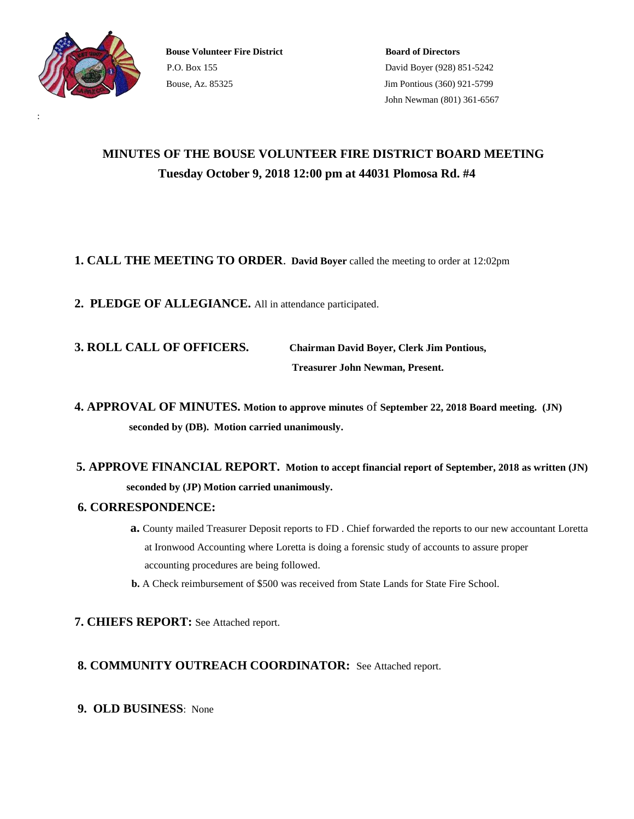

:

**Bouse Volunteer Fire District Board of Directors**  P.O. Box 155 David Boyer (928) 851-5242 Bouse, Az. 85325 Jim Pontious (360) 921-5799

John Newman (801) 361-6567

# **MINUTES OF THE BOUSE VOLUNTEER FIRE DISTRICT BOARD MEETING Tuesday October 9, 2018 12:00 pm at 44031 Plomosa Rd. #4**

### **1. CALL THE MEETING TO ORDER**. **David Boyer** called the meeting to order at 12:02pm

**2. PLEDGE OF ALLEGIANCE.** All in attendance participated.

| <b>3. ROLL CALL OF OFFICERS.</b> | <b>Chairman David Boyer, Clerk Jim Pontious,</b> |
|----------------------------------|--------------------------------------------------|
|                                  | <b>Treasurer John Newman, Present.</b>           |

**4. APPROVAL OF MINUTES. Motion to approve minutes** of **September 22, 2018 Board meeting. (JN) seconded by (DB). Motion carried unanimously.**

## **5. APPROVE FINANCIAL REPORT. Motion to accept financial report of September, 2018 as written (JN) seconded by (JP) Motion carried unanimously.**

#### **6. CORRESPONDENCE:**

- **a.** County mailed Treasurer Deposit reports to FD . Chief forwarded the reports to our new accountant Loretta at Ironwood Accounting where Loretta is doing a forensic study of accounts to assure proper accounting procedures are being followed.
- **b.** A Check reimbursement of \$500 was received from State Lands for State Fire School.
- **7. CHIEFS REPORT:** See Attached report.

### **8. COMMUNITY OUTREACH COORDINATOR:** See Attached report.

 **9. OLD BUSINESS**: None